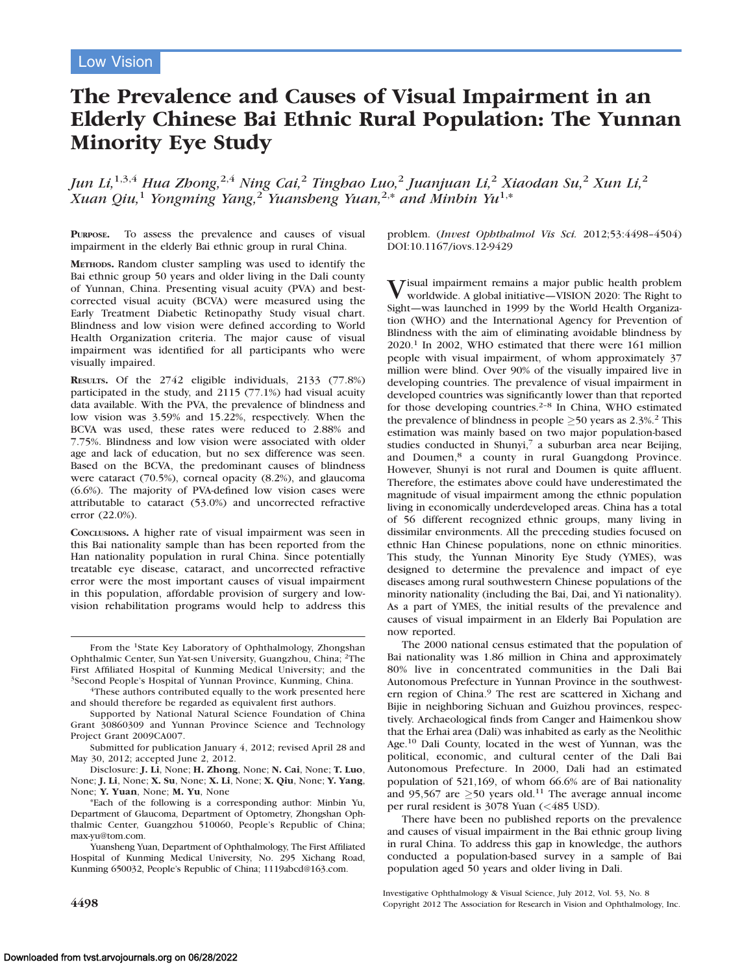# The Prevalence and Causes of Visual Impairment in an Elderly Chinese Bai Ethnic Rural Population: The Yunnan Minority Eye Study

Jun Li,1,3,4 Hua Zhong,2,4 Ning Cai,<sup>2</sup> Tinghao Luo,<sup>2</sup> Juanjuan Li,<sup>2</sup> Xiaodan Su,<sup>2</sup> Xun Li,<sup>2</sup> Xuan Qiu,<sup>1</sup> Yongming Yang,<sup>2</sup> Yuansheng Yuan,<sup>2,\*</sup> and Minbin Yu<sup>1,\*</sup>

PURPOSE. To assess the prevalence and causes of visual impairment in the elderly Bai ethnic group in rural China.

METHODS. Random cluster sampling was used to identify the Bai ethnic group 50 years and older living in the Dali county of Yunnan, China. Presenting visual acuity (PVA) and bestcorrected visual acuity (BCVA) were measured using the Early Treatment Diabetic Retinopathy Study visual chart. Blindness and low vision were defined according to World Health Organization criteria. The major cause of visual impairment was identified for all participants who were visually impaired.

RESULTS. Of the 2742 eligible individuals, 2133 (77.8%) participated in the study, and 2115 (77.1%) had visual acuity data available. With the PVA, the prevalence of blindness and low vision was 3.59% and 15.22%, respectively. When the BCVA was used, these rates were reduced to 2.88% and 7.75%. Blindness and low vision were associated with older age and lack of education, but no sex difference was seen. Based on the BCVA, the predominant causes of blindness were cataract (70.5%), corneal opacity (8.2%), and glaucoma (6.6%). The majority of PVA-defined low vision cases were attributable to cataract (53.0%) and uncorrected refractive error (22.0%).

CONCLUSIONS. A higher rate of visual impairment was seen in this Bai nationality sample than has been reported from the Han nationality population in rural China. Since potentially treatable eye disease, cataract, and uncorrected refractive error were the most important causes of visual impairment in this population, affordable provision of surgery and lowvision rehabilitation programs would help to address this

problem. (Invest Ophthalmol Vis Sci. 2012;53:4498–4504) DOI:10.1167/iovs.12-9429

Visual impairment remains a major public health problem worldwide. A global initiative—VISION 2020: The Right to Sight—was launched in 1999 by the World Health Organization (WHO) and the International Agency for Prevention of Blindness with the aim of eliminating avoidable blindness by 2020.1 In 2002, WHO estimated that there were 161 million people with visual impairment, of whom approximately 37 million were blind. Over 90% of the visually impaired live in developing countries. The prevalence of visual impairment in developed countries was significantly lower than that reported for those developing countries.<sup>2–8</sup> In China, WHO estimated the prevalence of blindness in people  $\geq$  50 years as 2.3%.<sup>2</sup> This estimation was mainly based on two major population-based studies conducted in Shunyi, $7$  a suburban area near Beijing, and Doumen,<sup>8</sup> a county in rural Guangdong Province. However, Shunyi is not rural and Doumen is quite affluent. Therefore, the estimates above could have underestimated the magnitude of visual impairment among the ethnic population living in economically underdeveloped areas. China has a total of 56 different recognized ethnic groups, many living in dissimilar environments. All the preceding studies focused on ethnic Han Chinese populations, none on ethnic minorities. This study, the Yunnan Minority Eye Study (YMES), was designed to determine the prevalence and impact of eye diseases among rural southwestern Chinese populations of the minority nationality (including the Bai, Dai, and Yi nationality). As a part of YMES, the initial results of the prevalence and causes of visual impairment in an Elderly Bai Population are now reported.

The 2000 national census estimated that the population of Bai nationality was 1.86 million in China and approximately 80% live in concentrated communities in the Dali Bai Autonomous Prefecture in Yunnan Province in the southwestern region of China.<sup>9</sup> The rest are scattered in Xichang and Bijie in neighboring Sichuan and Guizhou provinces, respectively. Archaeological finds from Canger and Haimenkou show that the Erhai area (Dali) was inhabited as early as the Neolithic Age.10 Dali County, located in the west of Yunnan, was the political, economic, and cultural center of the Dali Bai Autonomous Prefecture. In 2000, Dali had an estimated population of 521,169, of whom 66.6% are of Bai nationality and 95,567 are  $\geq$ 50 years old.<sup>11</sup> The average annual income per rural resident is 3078 Yuan (<485 USD).

There have been no published reports on the prevalence and causes of visual impairment in the Bai ethnic group living in rural China. To address this gap in knowledge, the authors conducted a population-based survey in a sample of Bai population aged 50 years and older living in Dali.

Investigative Ophthalmology & Visual Science, July 2012, Vol. 53, No. 8 4498 Copyright 2012 The Association for Research in Vision and Ophthalmology, Inc.

From the 1State Key Laboratory of Ophthalmology, Zhongshan Ophthalmic Center, Sun Yat-sen University, Guangzhou, China; 2The First Affiliated Hospital of Kunming Medical University; and the 3Second People's Hospital of Yunnan Province, Kunming, China.

<sup>&</sup>lt;sup>4</sup>These authors contributed equally to the work presented here and should therefore be regarded as equivalent first authors.

Supported by National Natural Science Foundation of China Grant 30860309 and Yunnan Province Science and Technology Project Grant 2009CA007.

Submitted for publication January 4, 2012; revised April 28 and May 30, 2012; accepted June 2, 2012.

Disclosure: J. Li, None; H. Zhong, None; N. Cai, None; T. Luo, None; J. Li, None; X. Su, None; X. Li, None; X. Qiu, None; Y. Yang, None; Y. Yuan, None; M. Yu, None

<sup>\*</sup>Each of the following is a corresponding author: Minbin Yu, Department of Glaucoma, Department of Optometry, Zhongshan Ophthalmic Center, Guangzhou 510060, People's Republic of China; max-yu@tom.com.

Yuansheng Yuan, Department of Ophthalmology, The First Affiliated Hospital of Kunming Medical University, No. 295 Xichang Road, Kunming 650032, People's Republic of China; 1119abcd@163.com.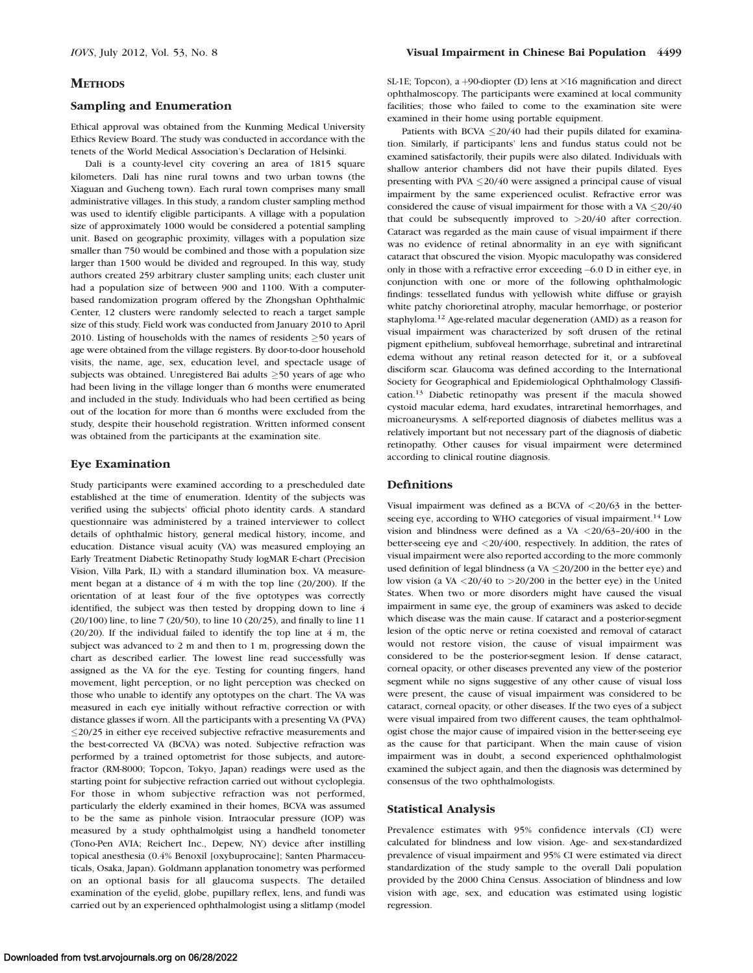### **METHODS**

## Sampling and Enumeration

Ethical approval was obtained from the Kunming Medical University Ethics Review Board. The study was conducted in accordance with the tenets of the World Medical Association's Declaration of Helsinki.

Dali is a county-level city covering an area of 1815 square kilometers. Dali has nine rural towns and two urban towns (the Xiaguan and Gucheng town). Each rural town comprises many small administrative villages. In this study, a random cluster sampling method was used to identify eligible participants. A village with a population size of approximately 1000 would be considered a potential sampling unit. Based on geographic proximity, villages with a population size smaller than 750 would be combined and those with a population size larger than 1500 would be divided and regrouped. In this way, study authors created 259 arbitrary cluster sampling units; each cluster unit had a population size of between 900 and 1100. With a computerbased randomization program offered by the Zhongshan Ophthalmic Center, 12 clusters were randomly selected to reach a target sample size of this study. Field work was conducted from January 2010 to April 2010. Listing of households with the names of residents  $\geq$ 50 years of age were obtained from the village registers. By door-to-door household visits, the name, age, sex, education level, and spectacle usage of subjects was obtained. Unregistered Bai adults  $\geq$  50 years of age who had been living in the village longer than 6 months were enumerated and included in the study. Individuals who had been certified as being out of the location for more than 6 months were excluded from the study, despite their household registration. Written informed consent was obtained from the participants at the examination site.

## Eye Examination

Study participants were examined according to a prescheduled date established at the time of enumeration. Identity of the subjects was verified using the subjects' official photo identity cards. A standard questionnaire was administered by a trained interviewer to collect details of ophthalmic history, general medical history, income, and education. Distance visual acuity (VA) was measured employing an Early Treatment Diabetic Retinopathy Study logMAR E-chart (Precision Vision, Villa Park, IL) with a standard illumination box. VA measurement began at a distance of 4 m with the top line (20/200). If the orientation of at least four of the five optotypes was correctly identified, the subject was then tested by dropping down to line 4 (20/100) line, to line 7 (20/50), to line 10 (20/25), and finally to line 11 (20/20). If the individual failed to identify the top line at 4 m, the subject was advanced to 2 m and then to 1 m, progressing down the chart as described earlier. The lowest line read successfully was assigned as the VA for the eye. Testing for counting fingers, hand movement, light perception, or no light perception was checked on those who unable to identify any optotypes on the chart. The VA was measured in each eye initially without refractive correction or with distance glasses if worn. All the participants with a presenting VA (PVA) -20/25 in either eye received subjective refractive measurements and the best-corrected VA (BCVA) was noted. Subjective refraction was performed by a trained optometrist for those subjects, and autorefractor (RM-8000; Topcon, Tokyo, Japan) readings were used as the starting point for subjective refraction carried out without cycloplegia. For those in whom subjective refraction was not performed, particularly the elderly examined in their homes, BCVA was assumed to be the same as pinhole vision. Intraocular pressure (IOP) was measured by a study ophthalmolgist using a handheld tonometer (Tono-Pen AVIA; Reichert Inc., Depew, NY) device after instilling topical anesthesia (0.4% Benoxil [oxybuprocaine]; Santen Pharmaceuticals, Osaka, Japan). Goldmann applanation tonometry was performed on an optional basis for all glaucoma suspects. The detailed examination of the eyelid, globe, pupillary reflex, lens, and fundi was carried out by an experienced ophthalmologist using a slitlamp (model

SL-1E; Topcon), a +90-diopter (D) lens at  $\times$ 16 magnification and direct ophthalmoscopy. The participants were examined at local community facilities; those who failed to come to the examination site were examined in their home using portable equipment.

Patients with BCVA  $\leq$ 20/40 had their pupils dilated for examination. Similarly, if participants' lens and fundus status could not be examined satisfactorily, their pupils were also dilated. Individuals with shallow anterior chambers did not have their pupils dilated. Eyes presenting with PVA  $\leq$ 20/40 were assigned a principal cause of visual impairment by the same experienced oculist. Refractive error was considered the cause of visual impairment for those with a VA  $\leq$ 20/40 that could be subsequently improved to >20/40 after correction. Cataract was regarded as the main cause of visual impairment if there was no evidence of retinal abnormality in an eye with significant cataract that obscured the vision. Myopic maculopathy was considered only in those with a refractive error exceeding  $-6.0$  D in either eye, in conjunction with one or more of the following ophthalmologic findings: tessellated fundus with yellowish white diffuse or grayish white patchy chorioretinal atrophy, macular hemorrhage, or posterior staphyloma.<sup>12</sup> Age-related macular degeneration (AMD) as a reason for visual impairment was characterized by soft drusen of the retinal pigment epithelium, subfoveal hemorrhage, subretinal and intraretinal edema without any retinal reason detected for it, or a subfoveal disciform scar. Glaucoma was defined according to the International Society for Geographical and Epidemiological Ophthalmology Classification.13 Diabetic retinopathy was present if the macula showed cystoid macular edema, hard exudates, intraretinal hemorrhages, and microaneurysms. A self-reported diagnosis of diabetes mellitus was a relatively important but not necessary part of the diagnosis of diabetic retinopathy. Other causes for visual impairment were determined according to clinical routine diagnosis.

#### Definitions

Visual impairment was defined as a BCVA of <20/63 in the betterseeing eye, according to WHO categories of visual impairment.<sup>14</sup> Low vision and blindness were defined as a VA <20/63–20/400 in the better-seeing eye and <20/400, respectively. In addition, the rates of visual impairment were also reported according to the more commonly used definition of legal blindness (a VA  $\leq$  20/200 in the better eye) and low vision (a VA  $\langle 20/40 \text{ to } 20/200 \text{ in the better eye} \rangle$  in the United States. When two or more disorders might have caused the visual impairment in same eye, the group of examiners was asked to decide which disease was the main cause. If cataract and a posterior-segment lesion of the optic nerve or retina coexisted and removal of cataract would not restore vision, the cause of visual impairment was considered to be the posterior-segment lesion. If dense cataract, corneal opacity, or other diseases prevented any view of the posterior segment while no signs suggestive of any other cause of visual loss were present, the cause of visual impairment was considered to be cataract, corneal opacity, or other diseases. If the two eyes of a subject were visual impaired from two different causes, the team ophthalmologist chose the major cause of impaired vision in the better-seeing eye as the cause for that participant. When the main cause of vision impairment was in doubt, a second experienced ophthalmologist examined the subject again, and then the diagnosis was determined by consensus of the two ophthalmologists.

#### Statistical Analysis

Prevalence estimates with 95% confidence intervals (CI) were calculated for blindness and low vision. Age- and sex-standardized prevalence of visual impairment and 95% CI were estimated via direct standardization of the study sample to the overall Dali population provided by the 2000 China Census. Association of blindness and low vision with age, sex, and education was estimated using logistic regression.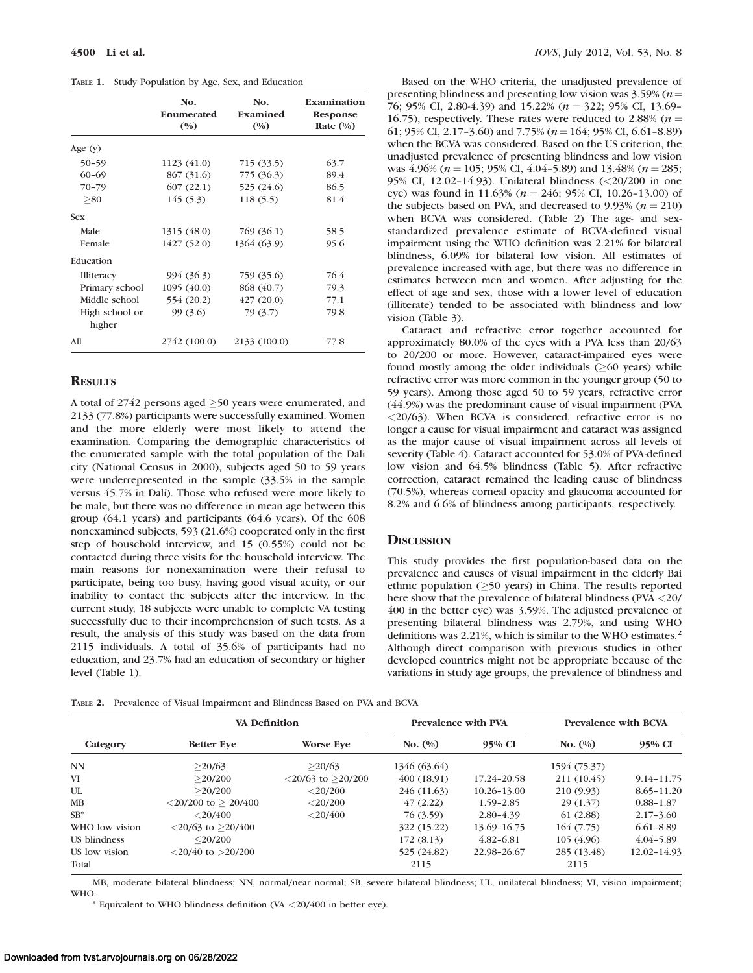TABLE 1. Study Population by Age, Sex, and Education

|                          | No.                 | No.               | Examination             |
|--------------------------|---------------------|-------------------|-------------------------|
|                          | Enumerated<br>(0/0) | Examined<br>(0/0) | Response<br>Rate $(\%)$ |
| Age $(y)$                |                     |                   |                         |
| $50 - 59$                | 1123 (41.0)         | 715 (33.5)        | 63.7                    |
| $60 - 69$                | 867 (31.6)          | 775 (36.3)        | 89.4                    |
| $70 - 79$                | 607(22.1)           | 525 (24.6)        | 86.5                    |
| > 80                     | 145(5.3)            | 118(5.5)          | 81.4                    |
| <b>Sex</b>               |                     |                   |                         |
| Male                     | 1315 (48.0)         | 769 (36.1)        | 58.5                    |
| Female                   | 1427 (52.0)         | 1364 (63.9)       | 95.6                    |
| Education                |                     |                   |                         |
| Illiteracy               | 994 (36.3)          | 759 (35.6)        | 76.4                    |
| Primary school           | 1095(40.0)          | 868 (40.7)        | 79.3                    |
| Middle school            | 554 (20.2)          | 427(20.0)         | 77.1                    |
| High school or<br>higher | 99 (3.6)            | 79 (3.7)          | 79.8                    |
| A11                      | 2742 (100.0)        | 2133 (100.0)      | 77.8                    |

#### **RESULTS**

A total of 2742 persons aged  $\geq$ 50 years were enumerated, and 2133 (77.8%) participants were successfully examined. Women and the more elderly were most likely to attend the examination. Comparing the demographic characteristics of the enumerated sample with the total population of the Dali city (National Census in 2000), subjects aged 50 to 59 years were underrepresented in the sample (33.5% in the sample versus 45.7% in Dali). Those who refused were more likely to be male, but there was no difference in mean age between this group (64.1 years) and participants (64.6 years). Of the 608 nonexamined subjects, 593 (21.6%) cooperated only in the first step of household interview, and 15 (0.55%) could not be contacted during three visits for the household interview. The main reasons for nonexamination were their refusal to participate, being too busy, having good visual acuity, or our inability to contact the subjects after the interview. In the current study, 18 subjects were unable to complete VA testing successfully due to their incomprehension of such tests. As a result, the analysis of this study was based on the data from 2115 individuals. A total of 35.6% of participants had no education, and 23.7% had an education of secondary or higher level (Table 1).

Based on the WHO criteria, the unadjusted prevalence of presenting blindness and presenting low vision was  $3.59\%$  ( $n =$ 76; 95% CI, 2.80-4.39) and 15.22% ( $n = 322$ ; 95% CI, 13.69-16.75), respectively. These rates were reduced to 2.88% ( $n =$ 61; 95% CI, 2.17-3.60) and 7.75% ( $n = 164$ ; 95% CI, 6.61-8.89) when the BCVA was considered. Based on the US criterion, the unadjusted prevalence of presenting blindness and low vision was  $4.96\%$  ( $n = 105$ ; 95% CI, 4.04-5.89) and 13.48% ( $n = 285$ ; 95% CI, 12.02–14.93). Unilateral blindness (<20/200 in one eye) was found in 11.63% ( $n = 246$ ; 95% CI, 10.26-13.00) of the subjects based on PVA, and decreased to 9.93% ( $n = 210$ ) when BCVA was considered. (Table 2) The age- and sexstandardized prevalence estimate of BCVA-defined visual impairment using the WHO definition was 2.21% for bilateral blindness, 6.09% for bilateral low vision. All estimates of prevalence increased with age, but there was no difference in estimates between men and women. After adjusting for the effect of age and sex, those with a lower level of education (illiterate) tended to be associated with blindness and low vision (Table 3).

Cataract and refractive error together accounted for approximately 80.0% of the eyes with a PVA less than 20/63 to 20/200 or more. However, cataract-impaired eyes were found mostly among the older individuals  $(\geq 60 \text{ years})$  while refractive error was more common in the younger group (50 to 59 years). Among those aged 50 to 59 years, refractive error (44.9%) was the predominant cause of visual impairment (PVA <20/63). When BCVA is considered, refractive error is no longer a cause for visual impairment and cataract was assigned as the major cause of visual impairment across all levels of severity (Table 4). Cataract accounted for 53.0% of PVA-defined low vision and 64.5% blindness (Table 5). After refractive correction, cataract remained the leading cause of blindness (70.5%), whereas corneal opacity and glaucoma accounted for 8.2% and 6.6% of blindness among participants, respectively.

## **DISCUSSION**

This study provides the first population-based data on the prevalence and causes of visual impairment in the elderly Bai ethnic population  $(≥50 \text{ years})$  in China. The results reported here show that the prevalence of bilateral blindness (PVA <20/ 400 in the better eye) was 3.59%. The adjusted prevalence of presenting bilateral blindness was 2.79%, and using WHO definitions was 2.21%, which is similar to the WHO estimates.<sup>2</sup> Although direct comparison with previous studies in other developed countries might not be appropriate because of the variations in study age groups, the prevalence of blindness and

TABLE 2. Prevalence of Visual Impairment and Blindness Based on PVA and BCVA

|                | <b>VA Definition</b>                          |                                      | <b>Prevalence with PVA</b> |                 | <b>Prevalence with BCVA</b> |                |  |
|----------------|-----------------------------------------------|--------------------------------------|----------------------------|-----------------|-----------------------------|----------------|--|
| Category       | <b>Better Eve</b>                             | <b>Worse Eve</b>                     | No. $(\%)$                 | 95% CI          | No. $(\%)$                  | 95% CI         |  |
| NN             | >20/63                                        | >20/63                               | 1346 (63.64)               |                 | 1594 (75.37)                |                |  |
| VI             | >20/200                                       | $\langle 20/63 \rangle$ to $>20/200$ | 400(18.91)                 | 17.24-20.58     | 211 (10.45)                 | $9.14 - 11.75$ |  |
| UL             | >20/200                                       | $<$ 20/200                           | 246 (11.63)                | $10.26 - 13.00$ | 210 (9.93)                  | $8.65 - 11.20$ |  |
| МB             | $\langle 20/200 \text{ to } > 20/400 \rangle$ | $<$ 20/200                           | 47(2.22)                   | 1.59-2.85       | 29(1.37)                    | $0.88 - 1.87$  |  |
| $SB^*$         | $<$ 20/400                                    | $<$ 20/400                           | 76 (3.59)                  | $2.80 - 4.39$   | 61 (2.88)                   | $2.17 - 3.60$  |  |
| WHO low vision | $\langle 20/63 \rangle$ to $> 20/400$         |                                      | 322 (15.22)                | 13.69-16.75     | 164(7.75)                   | $6.61 - 8.89$  |  |
| US blindness   | $\leq$ 20/200                                 |                                      | 172(8.13)                  | $4.82 - 6.81$   | 105(4.96)                   | $4.04 - 5.89$  |  |
| US low vision  | $<$ 20/40 to $>$ 20/200                       |                                      | 525 (24.82)                | 22.98-26.67     | 285 (13.48)                 | 12.02-14.93    |  |
| Total          |                                               |                                      | 2115                       |                 | 2115                        |                |  |

MB, moderate bilateral blindness; NN, normal/near normal; SB, severe bilateral blindness; UL, unilateral blindness; VI, vision impairment; WHO.

Equivalent to WHO blindness definition (VA  $\langle 20/400$  in better eye).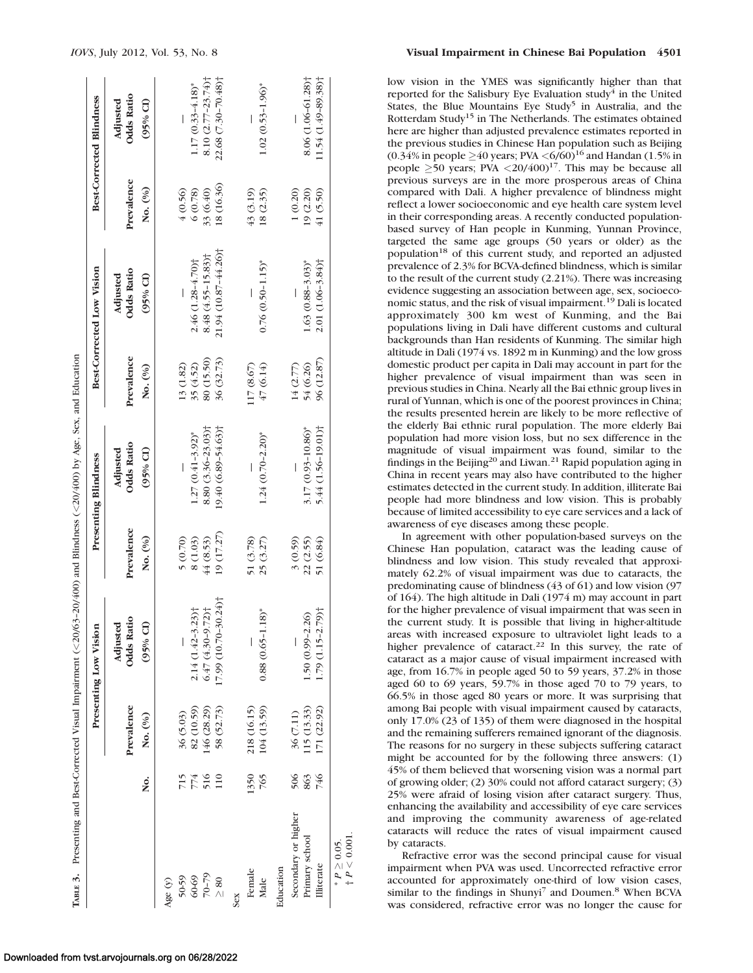|                                 |        |                       | <b>TABLE 3.</b> Presenting and Best-Corrected Visual Impairment (<20/63-20/400) and Blindness (<20/400) by Age, Sex, and Education |                       |                                            |                       |                                             |                       |                                             |
|---------------------------------|--------|-----------------------|------------------------------------------------------------------------------------------------------------------------------------|-----------------------|--------------------------------------------|-----------------------|---------------------------------------------|-----------------------|---------------------------------------------|
|                                 |        |                       | Presenting Low Vision                                                                                                              |                       | <b>Presenting Blindness</b>                |                       | <b>Best-Corrected Low Vision</b>            |                       | <b>Best-Corrected Blindness</b>             |
|                                 | ó<br>Z | Prevalence<br>No. (%) | <b>Odds Ratio</b><br>$(95%$ CI<br>Adjusted                                                                                         | Prevalence<br>No. (%) | <b>Odds Ratio</b><br>Adjusted<br>$(95%$ CI | Prevalence<br>No. (%) | <b>Odds Ratio</b><br>Adjusted<br>$(95%$ CI) | Prevalence<br>No. (%) | <b>Odds Ratio</b><br>Adjusted<br>$(95%$ CI) |
| Age (y)                         |        |                       |                                                                                                                                    |                       |                                            |                       |                                             |                       |                                             |
| 50-59                           | 715    | 36 (5.03)             |                                                                                                                                    | 5(0.70)               |                                            | 13 (1.82)             |                                             | 4(0.56)               |                                             |
| 60-69                           | 774    | 82 (10.59)            | 2.14 (1.42-3.23) <sup>†</sup>                                                                                                      | 8 (1.03)              | $1.27(0.41-3.92)^{*}$                      | 35 (4.52)             | 2.46 (1.28-4.70) <sup>†</sup>               | 6(0.78)               | $1.17(0.33 - 4.18)^*$                       |
| $70 - 79$                       | 516    | (46(28.29)            | $6.47(4.30-9.72)$                                                                                                                  | 44 (8.53)             | 8.80 (3.36-23.03) <sup>†</sup>             | 80 (15.50)            | $8.48(4.55 - 15.83)$                        | 33 (6.40)             | $8.10(2.77 - 23.74)$                        |
| $\frac{80}{1}$                  | 110    | 58 (52.73)            | $-30.24$<br>17.99 (10.70-                                                                                                          | 19 (17.27)            | 19.40 (6.89-54.63) <sup>†</sup>            | 36 (32.73)            | 21.94 (10.87-44.26) <sup>†</sup>            | 18 (16.36)            | $22.68$ $(7.30-70.48)$ <sup>†</sup>         |
| Sex                             |        |                       |                                                                                                                                    |                       |                                            |                       |                                             |                       |                                             |
| Female                          | 1350   | 218 (16.15)           |                                                                                                                                    | 51 (3.78)             |                                            | 117 (8.67)            |                                             | 43(3.19)              |                                             |
| Male                            | 765    | 104 (13.59)           | $0.88$ $(0.65 - 1.18)^*$                                                                                                           | 25 (3.27)             | $1.24 (0.70 - 2.20)^*$                     | 47(6.14)              | $0.76(0.50 - 1.15)^*$                       | 18 (2.35)             | $1.02(0.53 - 1.96)^*$                       |
| Education                       |        |                       |                                                                                                                                    |                       |                                            |                       |                                             |                       |                                             |
| Secondary or higher             | 506    | 36 <sub>(7.11)</sub>  |                                                                                                                                    | 3(0.59)               |                                            | 14 (2.77)             |                                             | 1(0.20)               |                                             |
| Primary school                  | 863    | 115 (13.33)           | $1.50(0.99 - 2.26)$                                                                                                                | 22 (2.55)             | $3.17(0.93 - 10.86)$ *                     | 54 (6.26)             | $1.63(0.88-3.03)^{*}$                       | 19(2.20)              | 8.06 (1.06-61.28)                           |
| <b>Illiterate</b>               | 746    | (71(22.92)            | $1.79$ $(1.15 - 2.79)$ <sup>†</sup>                                                                                                | 51 (6.84)             | 5.44 (1.56-19.01)                          | 96 (12.87)            | $2.01(1.06 - 3.84)$                         | 41(5.50)              | $11.54(1.49-89.38)$                         |
| $+ P < 0.001$<br>$P \ge 0.05$ . |        |                       |                                                                                                                                    |                       |                                            |                       |                                             |                       |                                             |

low vision in the YMES was significantly higher than that reported for the Salisbury Eye Evaluation study<sup>4</sup> in the United States, the Blue Mountains Eye Study<sup>5</sup> in Australia, and the Rotterdam Study<sup>15</sup> in The Netherlands. The estimates obtained here are higher than adjusted prevalence estimates reported in the previous studies in Chinese Han population such as Beijing  $(0.34\%$  in people  $\geq$  40 years; PVA <6/60)<sup>16</sup> and Handan (1.5% in people  $\geq 50$  years; PVA  $\lt$  20/400)<sup>17</sup>. This may be because all previous surveys are in the more prosperous areas of China compared with Dali. A higher prevalence of blindness might reflect a lower socioeconomic and eye health care system level in their corresponding areas. A recently conducted populationbased survey of Han people in Kunming, Yunnan Province, targeted the same age groups (50 years or older) as the population<sup>18</sup> of this current study, and reported an adjusted prevalence of 2.3% for BCVA-defined blindness, which is similar to the result of the current study (2.21%). There was increasing evidence suggesting an association between age, sex, socioeconomic status, and the risk of visual impairment.<sup>19</sup> Dali is located approximately 300 km west of Kunming, and the Bai populations living in Dali have different customs and cultural backgrounds than Han residents of Kunming. The similar high altitude in Dali (1974 vs. 1892 m in Kunming) and the low gross domestic product per capita in Dali may account in part for the higher prevalence of visual impairment than was seen in previous studies in China. Nearly all the Bai ethnic group lives in rural of Yunnan, which is one of the poorest provinces in China; the results presented herein are likely to be more reflective of the elderly Bai ethnic rural population. The more elderly Bai population had more vision loss, but no sex difference in the magnitude of visual impairment was found, similar to the findings in the Beijing<sup>20</sup> and Liwan.<sup>21</sup> Rapid population aging in China in recent years may also have contributed to the higher estimates detected in the current study. In addition, illiterate Bai people had more blindness and low vision. This is probably because of limited accessibility to eye care services and a lack of awareness of eye diseases among these people.

In agreement with other population-based surveys on the Chinese Han population, cataract was the leading cause of blindness and low vision. This study revealed that approximately 62.2% of visual impairment was due to cataracts, the predominating cause of blindness (43 of 61) and low vision (97 of 164). The high altitude in Dali (1974 m) may account in part for the higher prevalence of visual impairment that was seen in the current study. It is possible that living in higher-altitude areas with increased exposure to ultraviolet light leads to a higher prevalence of cataract.<sup>22</sup> In this survey, the rate of cataract as a major cause of visual impairment increased with age, from 16.7% in people aged 50 to 59 years, 37.2% in those aged 60 to 69 years, 59.7% in those aged 70 to 79 years, to 66.5% in those aged 80 years or more. It was surprising that among Bai people with visual impairment caused by cataracts, only 17.0% (23 of 135) of them were diagnosed in the hospital and the remaining sufferers remained ignorant of the diagnosis. The reasons for no surgery in these subjects suffering cataract might be accounted for by the following three answers: (1) 45% of them believed that worsening vision was a normal part of growing older; (2) 30% could not afford cataract surgery; (3) 25% were afraid of losing vision after cataract surgery. Thus, enhancing the availability and accessibility of eye care services and improving the community awareness of age-related cataracts will reduce the rates of visual impairment caused by cataracts.

Refractive error was the second principal cause for visual impairment when PVA was used. Uncorrected refractive error accounted for approximately one-third of low vision cases, similar to the findings in Shunyi<sup>7</sup> and Doumen.<sup>8</sup> When BCVA was considered, refractive error was no longer the cause for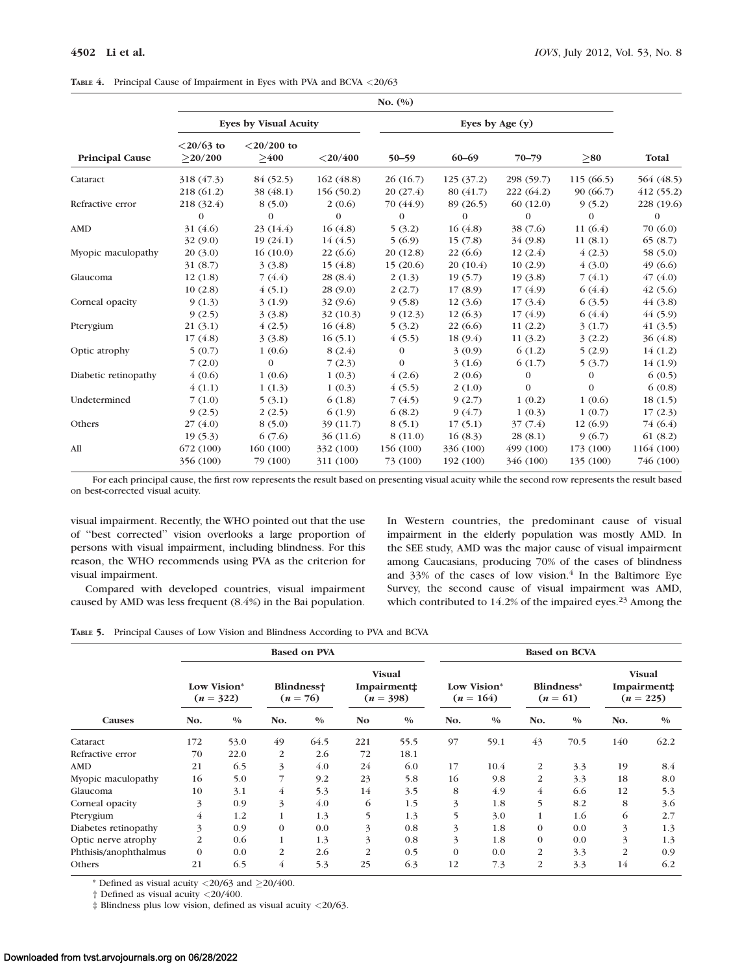|                        | No. $(\%)$              |                              |            |                |                 |            |                |            |  |  |  |  |
|------------------------|-------------------------|------------------------------|------------|----------------|-----------------|------------|----------------|------------|--|--|--|--|
|                        |                         | <b>Eyes by Visual Acuity</b> |            |                | Eyes by Age (y) |            |                |            |  |  |  |  |
| <b>Principal Cause</b> | $<$ 20/63 to<br>>20/200 | $<$ 20/200 to<br>>400        | $<$ 20/400 | $50 - 59$      | $60 - 69$       | $70 - 79$  | > 80           | Total      |  |  |  |  |
| Cataract               | 318 (47.3)              | 84 (52.5)                    | 162 (48.8) | 26(16.7)       | 125(37.2)       | 298 (59.7) | 115 (66.5)     | 564 (48.5) |  |  |  |  |
|                        | 218 (61.2)              | 38 (48.1)                    | 156(50.2)  | 20(27.4)       | 80 (41.7)       | 222(64.2)  | 90(66.7)       | 412(55.2)  |  |  |  |  |
| Refractive error       | 218 (32.4)              | 8(5.0)                       | 2(0.6)     | 70 (44.9)      | 89 (26.5)       | 60(12.0)   | 9(5.2)         | 228 (19.6) |  |  |  |  |
|                        | $\mathbf{0}$            | $\theta$                     | $\Omega$   | $\theta$       | $\overline{0}$  | $\theta$   | $\overline{0}$ | $\theta$   |  |  |  |  |
| AMD                    | 31(4.6)                 | 23(14.4)                     | 16(4.8)    | 5(3.2)         | 16(4.8)         | 38 (7.6)   | 11 $(6.4)$     | 70(6.0)    |  |  |  |  |
|                        | 32(9.0)                 | 19(24.1)                     | 14(4.5)    | 5(6.9)         | 15(7.8)         | 34(9.8)    | 11(8.1)        | 65(8.7)    |  |  |  |  |
| Myopic maculopathy     | 20(3.0)                 | 16(10.0)                     | 22(6.6)    | 20(12.8)       | 22(6.6)         | 12(2.4)    | (2.3)          | 58 (5.0)   |  |  |  |  |
|                        | 31(8.7)                 | 3(3.8)                       | 15(4.8)    | 15(20.6)       | 20(10.4)        | 10(2.9)    | (3.0)          | 49(6.6)    |  |  |  |  |
| Glaucoma               | 12(1.8)                 | 7(4.4)                       | 28(8.4)    | 2(1.3)         | 19(5.7)         | 19(3.8)    | 7(4.1)         | 47(4.0)    |  |  |  |  |
|                        | 10(2.8)                 | 4(5.1)                       | 28(9.0)    | 2(2.7)         | 17(8.9)         | 17(4.9)    | 6(4.4)         | 42(5.6)    |  |  |  |  |
| Corneal opacity        | 9(1.3)                  | 3(1.9)                       | 32(9.6)    | 9(5.8)         | 12(3.6)         | 17(3.4)    | 6(3.5)         | 44(3.8)    |  |  |  |  |
|                        | 9(2.5)                  | 3(3.8)                       | 32(10.3)   | 9(12.3)        | 12(6.3)         | 17(4.9)    | 6(4.4)         | 44(5.9)    |  |  |  |  |
| Pterygium              | 21(3.1)                 | 4(2.5)                       | 16(4.8)    | 5(3.2)         | 22(6.6)         | 11(2.2)    | 3(1.7)         | 41(3.5)    |  |  |  |  |
|                        | 17(4.8)                 | 3(3.8)                       | 16(5.1)    | 4(5.5)         | 18(9.4)         | 11(3.2)    | 3(2.2)         | 36(4.8)    |  |  |  |  |
| Optic atrophy          | 5(0.7)                  | 1(0.6)                       | 8(2.4)     | $\mathbf{0}$   | 3(0.9)          | 6(1.2)     | 5(2.9)         | 14(1.2)    |  |  |  |  |
|                        | 7(2.0)                  | $\theta$                     | 7(2.3)     | $\overline{0}$ | 3(1.6)          | 6(1.7)     | 5(3.7)         | 14(1.9)    |  |  |  |  |
| Diabetic retinopathy   | 4(0.6)                  | 1(0.6)                       | 1(0.3)     | 4(2.6)         | 2(0.6)          | $\theta$   | $\mathbf{0}$   | 6(0.5)     |  |  |  |  |
|                        | 4(1.1)                  | 1(1.3)                       | 1(0.3)     | 4(5.5)         | 2(1.0)          | $\theta$   | $\Omega$       | 6(0.8)     |  |  |  |  |
| Undetermined           | 7(1.0)                  | 5(3.1)                       | 6(1.8)     | 7(4.5)         | 9(2.7)          | 1(0.2)     | 1(0.6)         | 18(1.5)    |  |  |  |  |
|                        | 9(2.5)                  | 2(2.5)                       | 6(1.9)     | 6(8.2)         | 9(4.7)          | 1(0.3)     | 1(0.7)         | 17(2.3)    |  |  |  |  |
| Others                 | 27(4.0)                 | 8(5.0)                       | 39(11.7)   | 8(5.1)         | 17(5.1)         | 37(7.4)    | 12(6.9)        | 74 (6.4)   |  |  |  |  |
|                        | 19(5.3)                 | 6(7.6)                       | 36(11.6)   | 8(11.0)        | 16(8.3)         | 28(8.1)    | 9(6.7)         | 61(8.2)    |  |  |  |  |
| All                    | 672 (100)               | 160(100)                     | 332 (100)  | 156 (100)      | 336 (100)       | 499 (100)  | 173 (100)      | 1164 (100) |  |  |  |  |
|                        | 356 (100)               | 79 (100)                     | 311 (100)  | 73 (100)       | 192 (100)       | 346 (100)  | 135 (100)      | 746 (100)  |  |  |  |  |

|  |  |  |  | <b>TABLE 4.</b> Principal Cause of Impairment in Eves with PVA and BCVA $\langle 20/63 \rangle$ |
|--|--|--|--|-------------------------------------------------------------------------------------------------|
|--|--|--|--|-------------------------------------------------------------------------------------------------|

For each principal cause, the first row represents the result based on presenting visual acuity while the second row represents the result based on best-corrected visual acuity.

visual impairment. Recently, the WHO pointed out that the use of ''best corrected'' vision overlooks a large proportion of persons with visual impairment, including blindness. For this reason, the WHO recommends using PVA as the criterion for visual impairment.

Compared with developed countries, visual impairment caused by AMD was less frequent (8.4%) in the Bai population.

In Western countries, the predominant cause of visual impairment in the elderly population was mostly AMD. In the SEE study, AMD was the major cause of visual impairment among Caucasians, producing 70% of the cases of blindness and  $33%$  of the cases of low vision.<sup>4</sup> In the Baltimore Eye Survey, the second cause of visual impairment was AMD, which contributed to 14.2% of the impaired eyes.<sup>23</sup> Among the

|  |  |  |  |  |  |  | TABLE 5. Principal Causes of Low Vision and Blindness According to PVA and BCVA |  |  |  |  |  |
|--|--|--|--|--|--|--|---------------------------------------------------------------------------------|--|--|--|--|--|
|--|--|--|--|--|--|--|---------------------------------------------------------------------------------|--|--|--|--|--|

|                       |          |                            |                | <b>Based on PVA</b>             |                |                                             | <b>Based on BCVA</b> |                            |                |                                 |     |                                             |  |  |  |
|-----------------------|----------|----------------------------|----------------|---------------------------------|----------------|---------------------------------------------|----------------------|----------------------------|----------------|---------------------------------|-----|---------------------------------------------|--|--|--|
|                       |          | Low Vision*<br>$(n = 322)$ |                | <b>Blindnesst</b><br>$(n = 76)$ |                | <b>Visual</b><br>Impairment:<br>$(n = 398)$ |                      | Low Vision*<br>$(n = 164)$ |                | <b>Blindness*</b><br>$(n = 61)$ |     | <b>Visual</b><br>Impairment‡<br>$(n = 225)$ |  |  |  |
| <b>Causes</b>         | No.      | $\frac{0}{0}$              | No.            | $\frac{0}{0}$                   | No.            | $\frac{0}{0}$                               | No.                  | $\frac{0}{0}$              | No.            | $\frac{0}{0}$                   | No. | $\frac{0}{0}$                               |  |  |  |
| Cataract              | 172      | 53.0                       | 49             | 64.5                            | 221            | 55.5                                        | 97                   | 59.1                       | 43             | 70.5                            | 140 | 62.2                                        |  |  |  |
| Refractive error      | 70       | 22.0                       | 2              | 2.6                             | 72             | 18.1                                        |                      |                            |                |                                 |     |                                             |  |  |  |
| <b>AMD</b>            | 21       | 6.5                        | 3              | 4.0                             | 24             | 6.0                                         | 17                   | 10.4                       | $\overline{c}$ | 3.3                             | 19  | 8.4                                         |  |  |  |
| Myopic maculopathy    | 16       | 5.0                        |                | 9.2                             | 23             | 5.8                                         | 16                   | 9.8                        | 2              | 3.3                             | 18  | 8.0                                         |  |  |  |
| Glaucoma              | 10       | 3.1                        | 4              | 5.3                             | 14             | 3.5                                         | 8                    | 4.9                        | 4              | 6.6                             | 12  | 5.3                                         |  |  |  |
| Corneal opacity       | 3        | 0.9                        | 3              | 4.0                             | 6              | 1.5                                         | 3                    | 1.8                        | 5              | 8.2                             | 8   | 3.6                                         |  |  |  |
| Pterygium             | 4        | 1.2                        |                | 1.3                             | 5              | 1.3                                         | 5                    | 3.0                        |                | 1.6                             | 6   | 2.7                                         |  |  |  |
| Diabetes retinopathy  | 3        | 0.9                        | $\theta$       | 0.0                             | 3              | 0.8                                         | 3                    | 1.8                        | $\Omega$       | 0.0                             | 3   | 1.3                                         |  |  |  |
| Optic nerve atrophy   | 2        | 0.6                        |                | 1.3                             | 3              | 0.8                                         | 3                    | 1.8                        | $\Omega$       | 0.0                             | 3   | 1.3                                         |  |  |  |
| Phthisis/anophthalmus | $\Omega$ | 0.0                        | 2              | 2.6                             | $\overline{2}$ | 0.5                                         | $\Omega$             | 0.0                        | $\overline{2}$ | 3.3                             | 2   | 0.9                                         |  |  |  |
| Others                | 21       | 6.5                        | $\overline{4}$ | 5.3                             | 25             | 6.3                                         | 12                   | 7.3                        | $\overline{2}$ | 3.3                             | 14  | 6.2                                         |  |  |  |

\* Defined as visual acuity  $\langle 20/63 \rangle$  and  $\geq 20/400$ .

† Defined as visual acuity <20/400.

‡ Blindness plus low vision, defined as visual acuity <20/63.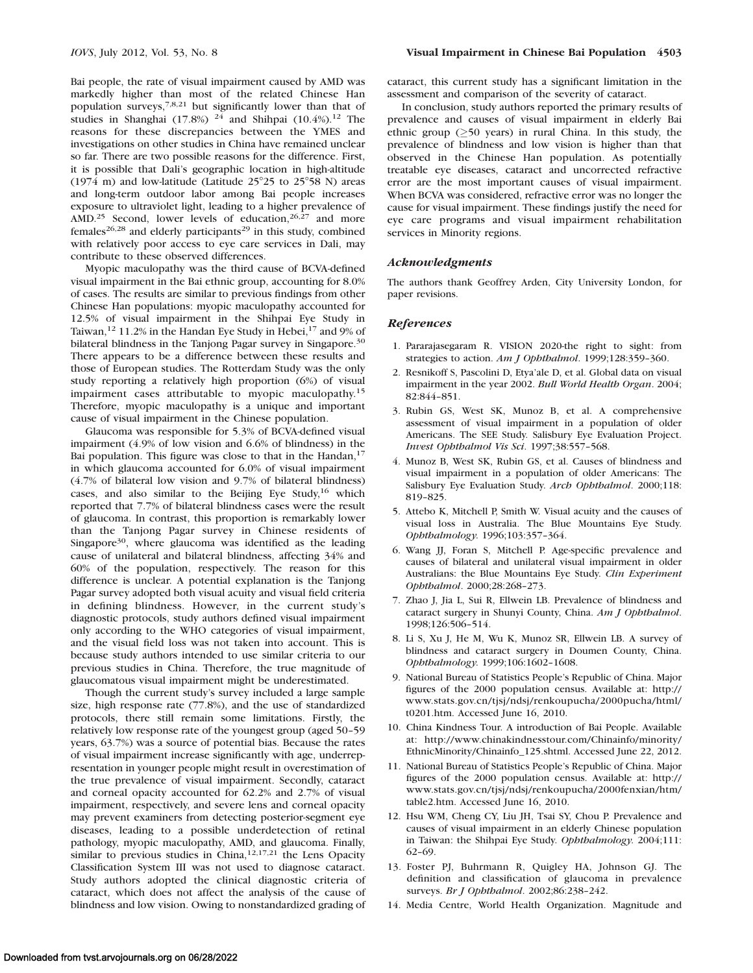Bai people, the rate of visual impairment caused by AMD was markedly higher than most of the related Chinese Han population surveys,  $7,8,21$  but significantly lower than that of studies in Shanghai (17.8%)  $24$  and Shihpai (10.4%).<sup>12</sup> The reasons for these discrepancies between the YMES and investigations on other studies in China have remained unclear so far. There are two possible reasons for the difference. First, it is possible that Dali's geographic location in high-altitude (1974 m) and low-latitude (Latitude  $25^{\circ}25$  to  $25^{\circ}58$  N) areas and long-term outdoor labor among Bai people increases exposure to ultraviolet light, leading to a higher prevalence of AMD.<sup>25</sup> Second, lower levels of education,  $26,27$  and more  $f$ emales<sup>26,28</sup> and elderly participants<sup>29</sup> in this study, combined with relatively poor access to eye care services in Dali, may contribute to these observed differences.

Myopic maculopathy was the third cause of BCVA-defined visual impairment in the Bai ethnic group, accounting for 8.0% of cases. The results are similar to previous findings from other Chinese Han populations: myopic maculopathy accounted for 12.5% of visual impairment in the Shihpai Eye Study in Taiwan,<sup>12</sup> 11.2% in the Handan Eye Study in Hebei,<sup>17</sup> and 9% of bilateral blindness in the Tanjong Pagar survey in Singapore.<sup>30</sup> There appears to be a difference between these results and those of European studies. The Rotterdam Study was the only study reporting a relatively high proportion (6%) of visual impairment cases attributable to myopic maculopathy.<sup>15</sup> Therefore, myopic maculopathy is a unique and important cause of visual impairment in the Chinese population.

Glaucoma was responsible for 5.3% of BCVA-defined visual impairment (4.9% of low vision and 6.6% of blindness) in the Bai population. This figure was close to that in the Handan,  $17$ in which glaucoma accounted for 6.0% of visual impairment (4.7% of bilateral low vision and 9.7% of bilateral blindness) cases, and also similar to the Beijing Eye Study,<sup>16</sup> which reported that 7.7% of bilateral blindness cases were the result of glaucoma. In contrast, this proportion is remarkably lower than the Tanjong Pagar survey in Chinese residents of Singapore<sup>30</sup>, where glaucoma was identified as the leading cause of unilateral and bilateral blindness, affecting 34% and 60% of the population, respectively. The reason for this difference is unclear. A potential explanation is the Tanjong Pagar survey adopted both visual acuity and visual field criteria in defining blindness. However, in the current study's diagnostic protocols, study authors defined visual impairment only according to the WHO categories of visual impairment, and the visual field loss was not taken into account. This is because study authors intended to use similar criteria to our previous studies in China. Therefore, the true magnitude of glaucomatous visual impairment might be underestimated.

Though the current study's survey included a large sample size, high response rate (77.8%), and the use of standardized protocols, there still remain some limitations. Firstly, the relatively low response rate of the youngest group (aged 50–59 years, 63.7%) was a source of potential bias. Because the rates of visual impairment increase significantly with age, underrepresentation in younger people might result in overestimation of the true prevalence of visual impairment. Secondly, cataract and corneal opacity accounted for 62.2% and 2.7% of visual impairment, respectively, and severe lens and corneal opacity may prevent examiners from detecting posterior-segment eye diseases, leading to a possible underdetection of retinal pathology, myopic maculopathy, AMD, and glaucoma. Finally, similar to previous studies in China,  $12,17,21$  the Lens Opacity Classification System III was not used to diagnose cataract. Study authors adopted the clinical diagnostic criteria of cataract, which does not affect the analysis of the cause of blindness and low vision. Owing to nonstandardized grading of cataract, this current study has a significant limitation in the assessment and comparison of the severity of cataract.

In conclusion, study authors reported the primary results of prevalence and causes of visual impairment in elderly Bai ethnic group  $(\geq 50 \text{ years})$  in rural China. In this study, the prevalence of blindness and low vision is higher than that observed in the Chinese Han population. As potentially treatable eye diseases, cataract and uncorrected refractive error are the most important causes of visual impairment. When BCVA was considered, refractive error was no longer the cause for visual impairment. These findings justify the need for eye care programs and visual impairment rehabilitation services in Minority regions.

#### Acknowledgments

The authors thank Geoffrey Arden, City University London, for paper revisions.

#### **References**

- 1. Pararajasegaram R. VISION 2020-the right to sight: from strategies to action. Am J Ophthalmol. 1999;128:359-360.
- 2. Resnikoff S, Pascolini D, Etya'ale D, et al. Global data on visual impairment in the year 2002. Bull World Health Organ. 2004; 82:844–851.
- 3. Rubin GS, West SK, Munoz B, et al. A comprehensive assessment of visual impairment in a population of older Americans. The SEE Study. Salisbury Eye Evaluation Project. Invest Ophthalmol Vis Sci. 1997;38:557–568.
- 4. Munoz B, West SK, Rubin GS, et al. Causes of blindness and visual impairment in a population of older Americans: The Salisbury Eye Evaluation Study. Arch Ophthalmol. 2000;118: 819–825.
- 5. Attebo K, Mitchell P, Smith W. Visual acuity and the causes of visual loss in Australia. The Blue Mountains Eye Study. Ophthalmology. 1996;103:357–364.
- 6. Wang JJ, Foran S, Mitchell P. Age-specific prevalence and causes of bilateral and unilateral visual impairment in older Australians: the Blue Mountains Eye Study. Clin Experiment Ophthalmol. 2000;28:268–273.
- 7. Zhao J, Jia L, Sui R, Ellwein LB. Prevalence of blindness and cataract surgery in Shunyi County, China. Am J Ophthalmol. 1998;126:506–514.
- 8. Li S, Xu J, He M, Wu K, Munoz SR, Ellwein LB. A survey of blindness and cataract surgery in Doumen County, China. Ophthalmology. 1999;106:1602–1608.
- 9. National Bureau of Statistics People's Republic of China. Major figures of the 2000 population census. Available at: http:// www.stats.gov.cn/tjsj/ndsj/renkoupucha/2000pucha/html/ t0201.htm. Accessed June 16, 2010.
- 10. China Kindness Tour. A introduction of Bai People. Available at: http://www.chinakindnesstour.com/Chinainfo/minority/ EthnicMinority/Chinainfo\_125.shtml. Accessed June 22, 2012.
- 11. National Bureau of Statistics People's Republic of China. Major figures of the 2000 population census. Available at: http:// www.stats.gov.cn/tjsj/ndsj/renkoupucha/2000fenxian/htm/ table2.htm. Accessed June 16, 2010.
- 12. Hsu WM, Cheng CY, Liu JH, Tsai SY, Chou P. Prevalence and causes of visual impairment in an elderly Chinese population in Taiwan: the Shihpai Eye Study. Ophthalmology. 2004;111: 62–69.
- 13. Foster PJ, Buhrmann R, Quigley HA, Johnson GJ. The definition and classification of glaucoma in prevalence surveys. Br J Ophthalmol. 2002;86:238–242.
- 14. Media Centre, World Health Organization. Magnitude and